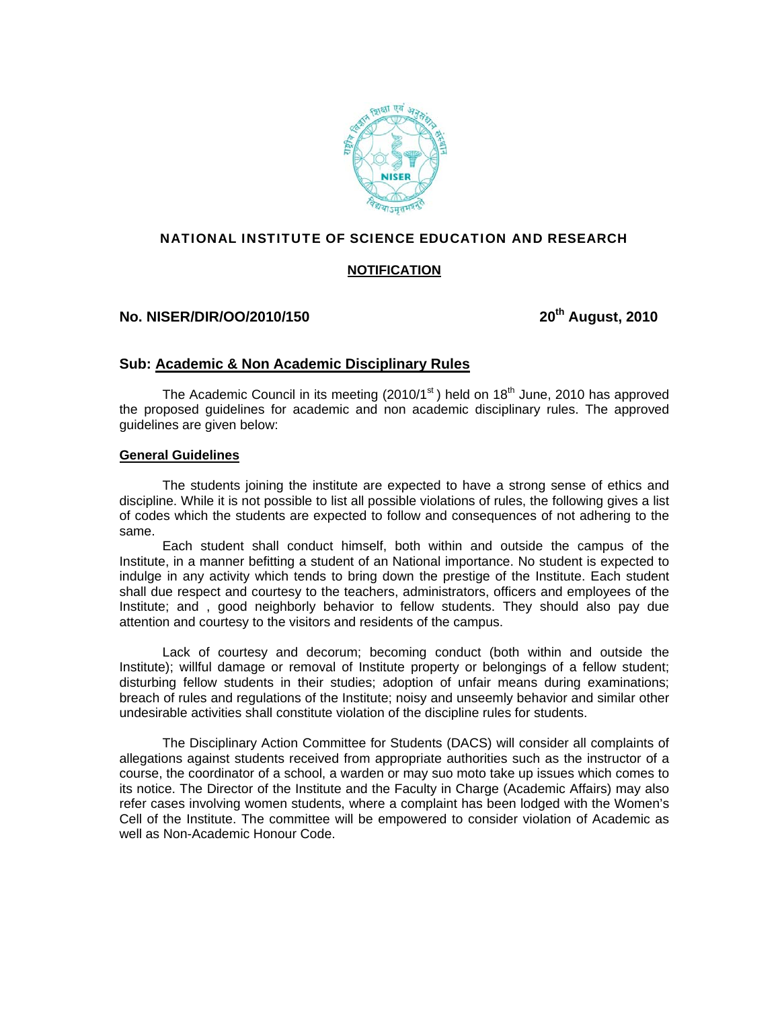

## NATIONAL INSTITUTE OF SCIENCE EDUCATION AND RESEARCH

## **NOTIFICATION**

# **No. NISER/DIR/OO/2010/150** 20<sup>th</sup> August, 2010

## **Sub: Academic & Non Academic Disciplinary Rules**

The Academic Council in its meeting  $(2010/1<sup>st</sup>)$  held on  $18<sup>th</sup>$  June, 2010 has approved the proposed guidelines for academic and non academic disciplinary rules. The approved guidelines are given below:

#### **General Guidelines**

 The students joining the institute are expected to have a strong sense of ethics and discipline. While it is not possible to list all possible violations of rules, the following gives a list of codes which the students are expected to follow and consequences of not adhering to the same.

 Each student shall conduct himself, both within and outside the campus of the Institute, in a manner befitting a student of an National importance. No student is expected to indulge in any activity which tends to bring down the prestige of the Institute. Each student shall due respect and courtesy to the teachers, administrators, officers and employees of the Institute; and , good neighborly behavior to fellow students. They should also pay due attention and courtesy to the visitors and residents of the campus.

 Lack of courtesy and decorum; becoming conduct (both within and outside the Institute); willful damage or removal of Institute property or belongings of a fellow student; disturbing fellow students in their studies; adoption of unfair means during examinations; breach of rules and regulations of the Institute; noisy and unseemly behavior and similar other undesirable activities shall constitute violation of the discipline rules for students.

 The Disciplinary Action Committee for Students (DACS) will consider all complaints of allegations against students received from appropriate authorities such as the instructor of a course, the coordinator of a school, a warden or may suo moto take up issues which comes to its notice. The Director of the Institute and the Faculty in Charge (Academic Affairs) may also refer cases involving women students, where a complaint has been lodged with the Women's Cell of the Institute. The committee will be empowered to consider violation of Academic as well as Non-Academic Honour Code.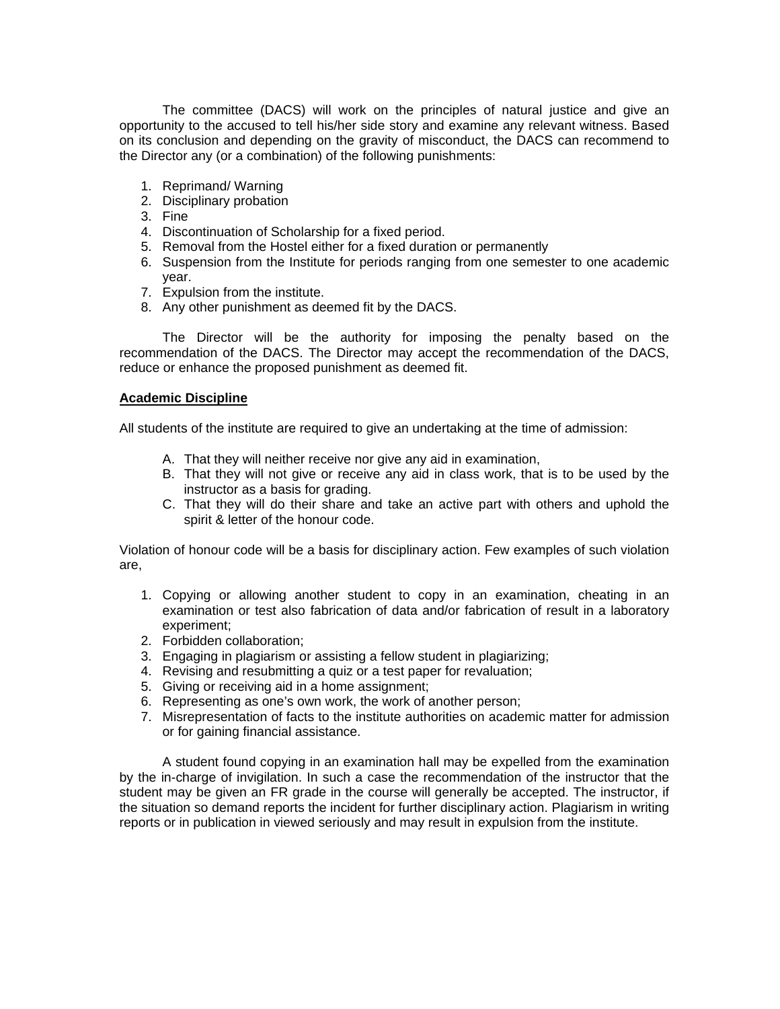The committee (DACS) will work on the principles of natural justice and give an opportunity to the accused to tell his/her side story and examine any relevant witness. Based on its conclusion and depending on the gravity of misconduct, the DACS can recommend to the Director any (or a combination) of the following punishments:

- 1. Reprimand/ Warning
- 2. Disciplinary probation
- 3. Fine
- 4. Discontinuation of Scholarship for a fixed period.
- 5. Removal from the Hostel either for a fixed duration or permanently
- 6. Suspension from the Institute for periods ranging from one semester to one academic year.
- 7. Expulsion from the institute.
- 8. Any other punishment as deemed fit by the DACS.

 The Director will be the authority for imposing the penalty based on the recommendation of the DACS. The Director may accept the recommendation of the DACS, reduce or enhance the proposed punishment as deemed fit.

#### **Academic Discipline**

All students of the institute are required to give an undertaking at the time of admission:

- A. That they will neither receive nor give any aid in examination,
- B. That they will not give or receive any aid in class work, that is to be used by the instructor as a basis for grading.
- C. That they will do their share and take an active part with others and uphold the spirit & letter of the honour code.

Violation of honour code will be a basis for disciplinary action. Few examples of such violation are,

- 1. Copying or allowing another student to copy in an examination, cheating in an examination or test also fabrication of data and/or fabrication of result in a laboratory experiment;
- 2. Forbidden collaboration;
- 3. Engaging in plagiarism or assisting a fellow student in plagiarizing;
- 4. Revising and resubmitting a quiz or a test paper for revaluation;
- 5. Giving or receiving aid in a home assignment;
- 6. Representing as one's own work, the work of another person;
- 7. Misrepresentation of facts to the institute authorities on academic matter for admission or for gaining financial assistance.

 A student found copying in an examination hall may be expelled from the examination by the in-charge of invigilation. In such a case the recommendation of the instructor that the student may be given an FR grade in the course will generally be accepted. The instructor, if the situation so demand reports the incident for further disciplinary action. Plagiarism in writing reports or in publication in viewed seriously and may result in expulsion from the institute.